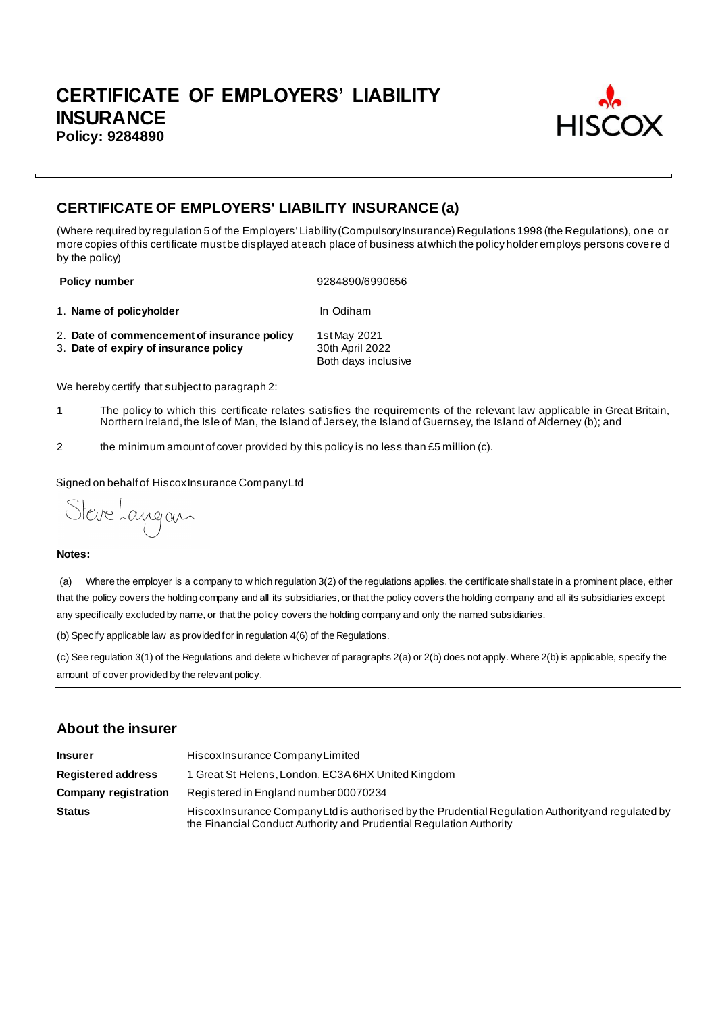

# **CERTIFICATE OF EMPLOYERS' LIABILITY INSURANCE (a)**

(Where required by regulation 5 of the Employers' Liability (Compulsory Insurance) Regulations 1998 (the Regulations), one or more copies of this certificate must be displayed at each place of business at which the policy holder employs persons covere d by the policy)

**Policy number** 9284890/6990656

- 1. **Name of policyholder In Odiham**
- 2. **Date of commencement of insurance policy** 1st May 2021<br>3. **Date of expiry of insurance policy** 30th April 2022 3. Date of expiry of insurance policy Both days inclusive

We hereby certify that subject to paragraph 2:

- 1 The policy to which this certificate relates satisfies the requirements of the relevant law applicable in Great Britain, Northern Ireland, the Isle of Man, the Island of Jersey, the Island of Guernsey, the Island of Alderney (b); and
- 2 the minimum amount of cover provided by this policy is no less than £5 million (c).

Signed on behalf of Hiscox Insurance Company Ltd

Steve Langan

#### **Notes:**

(a) Where the employer is a company to w hich regulation 3(2) of the regulations applies, the certificate shall state in a prominent place, either that the policy covers the holding company and all its subsidiaries, or that the policy covers the holding company and all its subsidiaries except any specifically excluded by name, or that the policy covers the holding company and only the named subsidiaries.

(b) Specify applicable law as provided for in regulation 4(6) of the Regulations.

(c) See regulation 3(1) of the Regulations and delete w hichever of paragraphs 2(a) or 2(b) does not apply. Where 2(b) is applicable, specify the amount of cover provided by the relevant policy.

## **About the insurer**

| <b>Insurer</b>              | Hiscox Insurance Company Limited                                                                                                                                          |  |  |
|-----------------------------|---------------------------------------------------------------------------------------------------------------------------------------------------------------------------|--|--|
| <b>Registered address</b>   | 1 Great St Helens, London, EC3A 6HX United Kingdom                                                                                                                        |  |  |
| <b>Company registration</b> | Registered in England number 00070234                                                                                                                                     |  |  |
| <b>Status</b>               | Hiscox Insurance Company Ltd is authorised by the Prudential Regulation Authority and regulated by<br>the Financial Conduct Authority and Prudential Regulation Authority |  |  |